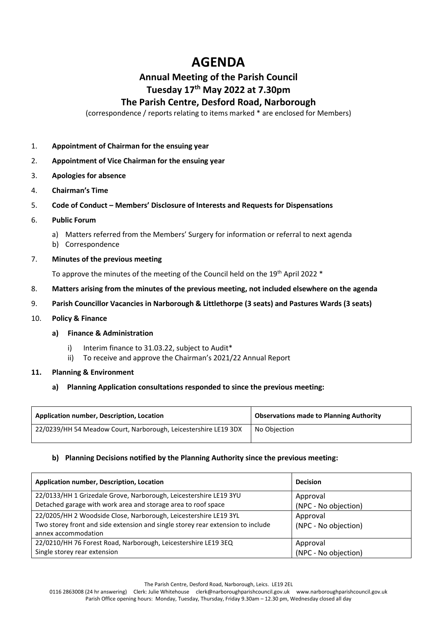# **AGENDA**

# **Annual Meeting of the Parish Council Tuesday 17th May 2022 at 7.30pm**

## **The Parish Centre, Desford Road, Narborough**

(correspondence / reports relating to items marked \* are enclosed for Members)

- 1. **Appointment of Chairman for the ensuing year**
- 2. **Appointment of Vice Chairman for the ensuing year**
- 3. **Apologies for absence**
- 4. **Chairman's Time**
- 5. **Code of Conduct – Members' Disclosure of Interests and Requests for Dispensations**
- 6. **Public Forum**
	- a) Matters referred from the Members' Surgery for information or referral to next agenda
	- b) Correspondence
- 7. **Minutes of the previous meeting**

To approve the minutes of the meeting of the Council held on the 19<sup>th</sup> April 2022 \*

- 8. **Matters arising from the minutes of the previous meeting, not included elsewhere on the agenda**
- 9. **Parish Councillor Vacancies in Narborough & Littlethorpe (3 seats) and Pastures Wards (3 seats)**
- 10. **Policy & Finance**
	- **a) Finance & Administration**
		- i) Interim finance to 31.03.22, subject to Audit\*
		- ii) To receive and approve the Chairman's 2021/22 Annual Report
- **11. Planning & Environment**
	- **a) Planning Application consultations responded to since the previous meeting:**

| Application number, Description, Location                       | <b>Observations made to Planning Authority</b> |
|-----------------------------------------------------------------|------------------------------------------------|
| 22/0239/HH 54 Meadow Court, Narborough, Leicestershire LE19 3DX | No Objection                                   |

### **b) Planning Decisions notified by the Planning Authority since the previous meeting:**

| Application number, Description, Location                                       | <b>Decision</b>      |
|---------------------------------------------------------------------------------|----------------------|
| 22/0133/HH 1 Grizedale Grove, Narborough, Leicestershire LE19 3YU               | Approval             |
| Detached garage with work area and storage area to roof space                   | (NPC - No objection) |
| 22/0205/HH 2 Woodside Close, Narborough, Leicestershire LE19 3YL                | Approval             |
| Two storey front and side extension and single storey rear extension to include | (NPC - No objection) |
| annex accommodation                                                             |                      |
| 22/0210/HH 76 Forest Road, Narborough, Leicestershire LE19 3EQ                  | Approval             |
| Single storey rear extension                                                    | (NPC - No objection) |

The Parish Centre, Desford Road, Narborough, Leics. LE19 2EL